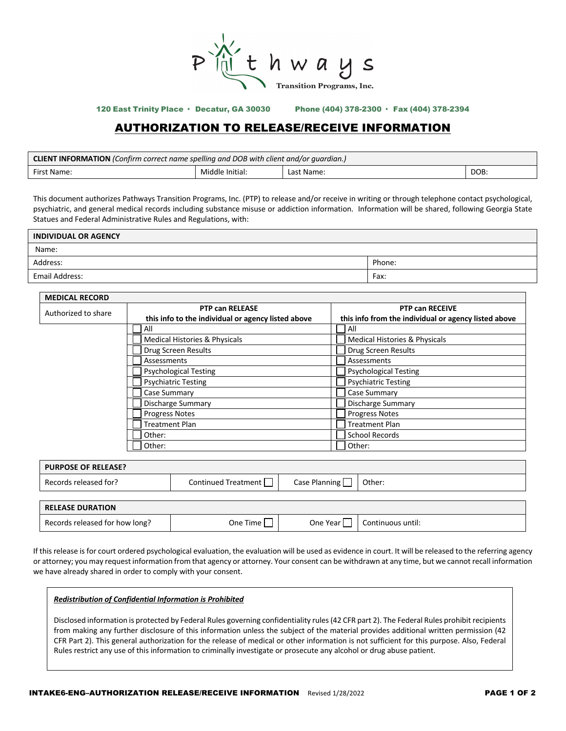

120 East Trinity Place · Decatur, GA 30030 Phone (404) 378-2300 · Fax (404) 378-2394

## AUTHORIZATION TO RELEASE/RECEIVE INFORMATION

| <b>CLIENT INFORMATION</b> (Confirm correct name spelling and DOB with client and/or quardian.) |                 |            |      |  |
|------------------------------------------------------------------------------------------------|-----------------|------------|------|--|
| First Name:                                                                                    | Middle Initial: | Last Name: | DOB: |  |

This document authorizes Pathways Transition Programs, Inc. (PTP) to release and/or receive in writing or through telephone contact psychological, psychiatric, and general medical records including substance misuse or addiction information. Information will be shared, following Georgia State Statues and Federal Administrative Rules and Regulations, with:

| <b>INDIVIDUAL OR AGENCY</b> |        |
|-----------------------------|--------|
| Name:                       |        |
| Address:                    | Phone: |
| Email Address:              | Fax:   |

| <b>MEDICAL RECORD</b> |                                                    |                                                      |  |
|-----------------------|----------------------------------------------------|------------------------------------------------------|--|
| Authorized to share   | <b>PTP can RELEASE</b>                             | <b>PTP can RECEIVE</b>                               |  |
|                       | this info to the individual or agency listed above | this info from the individual or agency listed above |  |
|                       | All                                                | All                                                  |  |
|                       | Medical Histories & Physicals                      | Medical Histories & Physicals                        |  |
|                       | Drug Screen Results                                | Drug Screen Results                                  |  |
|                       | Assessments                                        | Assessments                                          |  |
|                       | <b>Psychological Testing</b>                       | <b>Psychological Testing</b>                         |  |
|                       | <b>Psychiatric Testing</b>                         | <b>Psychiatric Testing</b>                           |  |
|                       | Case Summary                                       | Case Summary                                         |  |
|                       | <b>Discharge Summary</b>                           | <b>Discharge Summary</b>                             |  |
|                       | <b>Progress Notes</b>                              | <b>Progress Notes</b>                                |  |
|                       | <b>Treatment Plan</b>                              | <b>Treatment Plan</b>                                |  |
|                       | Other:                                             | <b>School Records</b>                                |  |
|                       | Other:                                             | Other:                                               |  |

| <b>PURPOSE OF RELEASE?</b> |                     |                      |        |
|----------------------------|---------------------|----------------------|--------|
| Records released for?      | Continued Treatment | Case Planning $\Box$ | Other: |
|                            |                     |                      |        |
|                            |                     |                      |        |

| <b>RELEASE DURATION</b>        |          |          |                   |
|--------------------------------|----------|----------|-------------------|
| Records released for how long? | One Time | One Year | Continuous until: |

If this release is for court ordered psychological evaluation, the evaluation will be used as evidence in court. It will be released to the referring agency or attorney; you may request information from that agency or attorney. Your consent can be withdrawn at any time, but we cannot recall information we have already shared in order to comply with your consent.

## *Redistribution of Confidential Information is Prohibited*

Disclosed information is protected by Federal Rules governing confidentiality rules (42 CFR part 2). The Federal Rules prohibit recipients from making any further disclosure of this information unless the subject of the material provides additional written permission (42 CFR Part 2). This general authorization for the release of medical or other information is not sufficient for this purpose. Also, Federal Rules restrict any use of this information to criminally investigate or prosecute any alcohol or drug abuse patient.